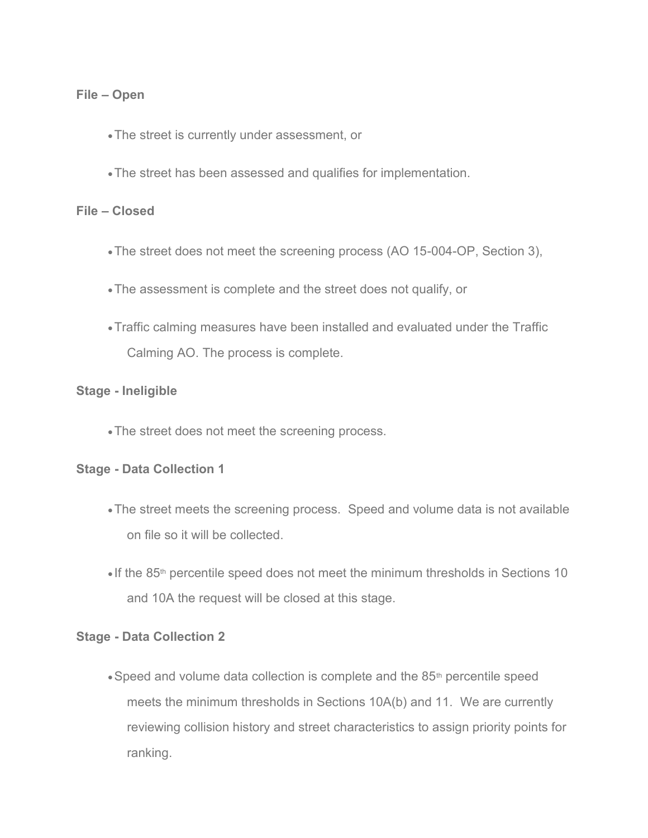### **File – Open**

- •The street is currently under assessment, or
- •The street has been assessed and qualifies for implementation.

#### **File – Closed**

- •The street does not meet the screening process (AO 15-004-OP, Section 3),
- •The assessment is complete and the street does not qualify, or
- •Traffic calming measures have been installed and evaluated under the Traffic Calming AO. The process is complete.

### **Stage - Ineligible**

•The street does not meet the screening process.

### **Stage - Data Collection 1**

- •The street meets the screening process. Speed and volume data is not available on file so it will be collected.
- If the 85<sup>th</sup> percentile speed does not meet the minimum thresholds in Sections 10 and 10A the request will be closed at this stage.

### **Stage - Data Collection 2**

• Speed and volume data collection is complete and the 85<sup>th</sup> percentile speed meets the minimum thresholds in Sections 10A(b) and 11. We are currently reviewing collision history and street characteristics to assign priority points for ranking.